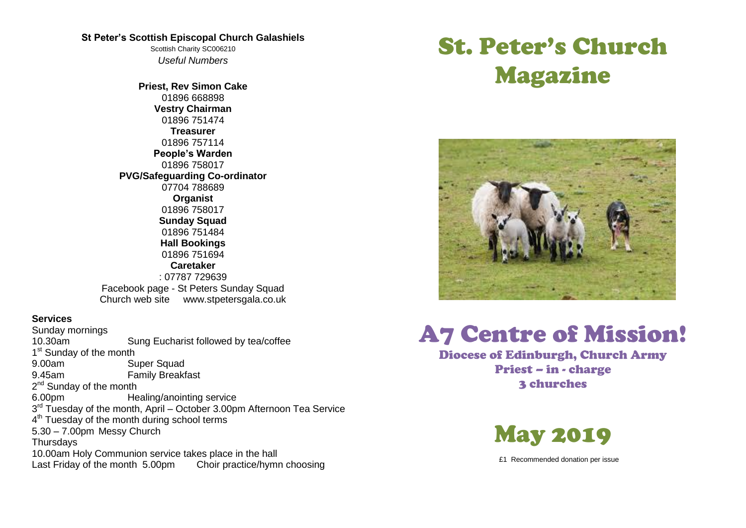#### **St Peter's Scottish Episcopal Church Galashiels**

Scottish Charity SC006210 *Useful Numbers* 

**Priest, Rev Simon Cake** 01896 668898 **Vestry Chairman** 01896 751474 **Treasurer** 01896 757114 **People's Warden** 01896 758017 **PVG/Safeguarding Co-ordinator** 07704 788689 **Organist** 01896 758017 **Sunday Squad** 01896 751484 **Hall Bookings** 01896 751694 **Caretaker** : 07787 729639 Facebook page - St Peters Sunday Squad Church web site www.stpetersgala.co.uk

### **Services**

Sunday mornings 10.30am Sung Eucharist followed by tea/coffee 1<sup>st</sup> Sunday of the month 9.00am Super Squad 9.45am Family Breakfast 2<sup>nd</sup> Sunday of the month 6.00pm Healing/anointing service 3<sup>rd</sup> Tuesday of the month, April – October 3.00pm Afternoon Tea Service 4<sup>th</sup> Tuesday of the month during school terms 5.30 – 7.00pm Messy Church **Thursdays** 10.00am Holy Communion service takes place in the hall Last Friday of the month 5.00pm Choir practice/hymn choosing

# St. Peter's Church Magazine



# A7 Centre of Mission!

Diocese of Edinburgh, Church Army Priest – in - charge 3 churches



£1 Recommended donation per issue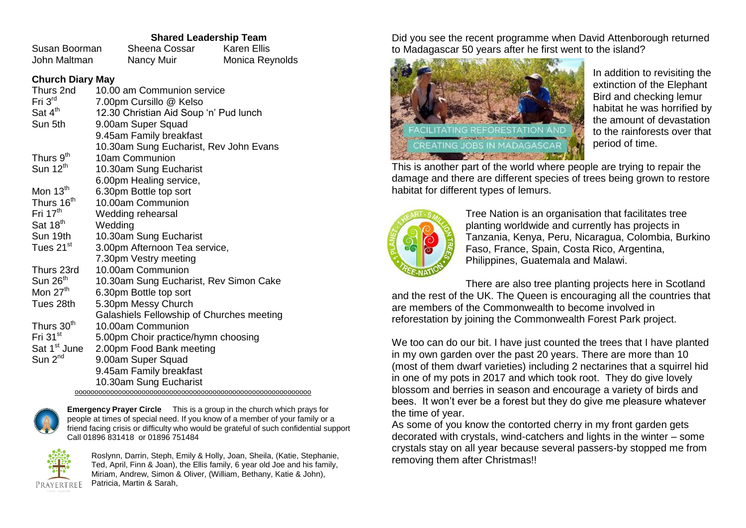## **Shared Leadership Team**

| Susan Boorman | Sheena Cossar | Karen Ellis     |
|---------------|---------------|-----------------|
| John Maltman  | Nancy Muir    | Monica Reynolds |

## **Church Diary May**

| Thurs 2nd                | 10.00 am Communion service                |
|--------------------------|-------------------------------------------|
| Fri $3rd$                | 7.00pm Cursillo @ Kelso                   |
| Sat 4 <sup>th</sup>      | 12.30 Christian Aid Soup 'n' Pud lunch    |
| Sun 5th                  | 9.00am Super Squad                        |
|                          | 9.45am Family breakfast                   |
|                          | 10.30am Sung Eucharist, Rev John Evans    |
| Thurs 9 <sup>th</sup>    | 10am Communion                            |
| Sun $12th$               | 10.30am Sung Eucharist                    |
|                          | 6.00pm Healing service,                   |
| Mon $13th$               | 6.30pm Bottle top sort                    |
| Thurs 16 <sup>th</sup>   | 10.00am Communion                         |
| Fri $17th$               | Wedding rehearsal                         |
| Sat 18 <sup>th</sup>     | Wedding                                   |
| Sun 19th                 | 10.30am Sung Eucharist                    |
| Tues 21 <sup>st</sup>    | 3.00pm Afternoon Tea service,             |
|                          | 7.30pm Vestry meeting                     |
| Thurs 23rd               | 10.00am Communion                         |
| Sun $26th$               | 10.30am Sung Eucharist, Rev Simon Cake    |
| Mon 27 <sup>th</sup>     | 6.30pm Bottle top sort                    |
| Tues 28th                | 5.30pm Messy Church                       |
|                          | Galashiels Fellowship of Churches meeting |
| Thurs 30 <sup>th</sup>   | 10.00am Communion                         |
| Fri 31 <sup>st</sup>     | 5.00pm Choir practice/hymn choosing       |
| Sat 1 <sup>st</sup> June | 2.00pm Food Bank meeting                  |
| Sun 2 <sup>nd</sup>      | 9.00am Super Squad                        |
|                          | 9.45am Family breakfast                   |
|                          | 10.30am Sung Eucharist                    |
|                          |                                           |



**Emergency Prayer Circle** This is a group in the church which prays for people at times of special need. If you know of a member of your family or a friend facing crisis or difficulty who would be grateful of such confidential support Call 01896 831418 or 01896 751484



Roslynn, Darrin, Steph, Emily & Holly, Joan, Sheila, (Katie, Stephanie, Ted, April, Finn & Joan), the Ellis family, 6 year old Joe and his family, Miriam, Andrew, Simon & Oliver, (William, Bethany, Katie & John), Patricia, Martin & Sarah,

Did you see the recent programme when David Attenborough returned to Madagascar 50 years after he first went to the island?



In addition to revisiting the extinction of the Elephant Bird and checking lemur habitat he was horrified by the amount of devastation to the rainforests over that period of time.

This is another part of the world where people are trying to repair the damage and there are different species of trees being grown to restore habitat for different types of lemurs.



Tree Nation is an organisation that facilitates tree planting worldwide and currently has projects in Tanzania, Kenya, Peru, Nicaragua, Colombia, Burkino Faso, France, Spain, Costa Rico, Argentina, Philippines, Guatemala and Malawi.

There are also tree planting projects here in Scotland and the rest of the UK. The Queen is encouraging all the countries that are members of the Commonwealth to become involved in reforestation by joining the Commonwealth Forest Park project.

We too can do our bit. I have just counted the trees that I have planted in my own garden over the past 20 years. There are more than 10 (most of them dwarf varieties) including 2 nectarines that a squirrel hid in one of my pots in 2017 and which took root. They do give lovely blossom and berries in season and encourage a variety of birds and bees. It won't ever be a forest but they do give me pleasure whatever the time of year.

As some of you know the contorted cherry in my front garden gets decorated with crystals, wind-catchers and lights in the winter – some crystals stay on all year because several passers-by stopped me from removing them after Christmas!!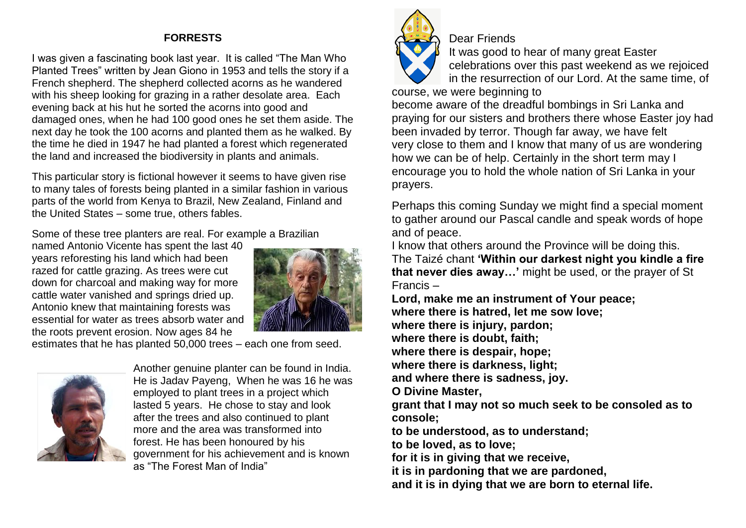# **FORRESTS**

I was given a fascinating book last year. It is called "The Man Who Planted Trees" written by Jean Giono in 1953 and tells the story if a French shepherd. The shepherd collected acorns as he wandered with his sheep looking for grazing in a rather desolate area. Each evening back at his hut he sorted the acorns into good and damaged ones, when he had 100 good ones he set them aside. The next day he took the 100 acorns and planted them as he walked. By the time he died in 1947 he had planted a forest which regenerated the land and increased the biodiversity in plants and animals.

This particular story is fictional however it seems to have given rise to many tales of forests being planted in a similar fashion in various parts of the world from Kenya to Brazil, New Zealand, Finland and the United States – some true, others fables.

Some of these tree planters are real. For example a Brazilian

named Antonio Vicente has spent the last 40 years reforesting his land which had been razed for cattle grazing. As trees were cut down for charcoal and making way for more cattle water vanished and springs dried up. Antonio knew that maintaining forests was essential for water as trees absorb water and the roots prevent erosion. Now ages 84 he



estimates that he has planted 50,000 trees – each one from seed.



Another genuine planter can be found in India. He is Jadav Payeng, When he was 16 he was employed to plant trees in a project which lasted 5 years. He chose to stay and look after the trees and also continued to plant more and the area was transformed into forest. He has been honoured by his government for his achievement and is known as "The Forest Man of India"



Dear Friends

It was good to hear of many great Easter celebrations over this past weekend as we rejoiced in the resurrection of our Lord. At the same time, of

course, we were beginning to

become aware of the dreadful bombings in Sri Lanka and praying for our sisters and brothers there whose Easter joy had been invaded by terror. Though far away, we have felt very close to them and I know that many of us are wondering how we can be of help. Certainly in the short term may I encourage you to hold the whole nation of Sri Lanka in your prayers.

Perhaps this coming Sunday we might find a special moment to gather around our Pascal candle and speak words of hope and of peace.

I know that others around the Province will be doing this. The Taizé chant **'Within our darkest night you kindle a fire that never dies away…'** might be used, or the prayer of St Francis –

**Lord, make me an instrument of Your peace; where there is hatred, let me sow love; where there is injury, pardon; where there is doubt, faith; where there is despair, hope; where there is darkness, light; and where there is sadness, joy. O Divine Master, grant that I may not so much seek to be consoled as to console; to be understood, as to understand; to be loved, as to love; for it is in giving that we receive, it is in pardoning that we are pardoned, and it is in dying that we are born to eternal life.**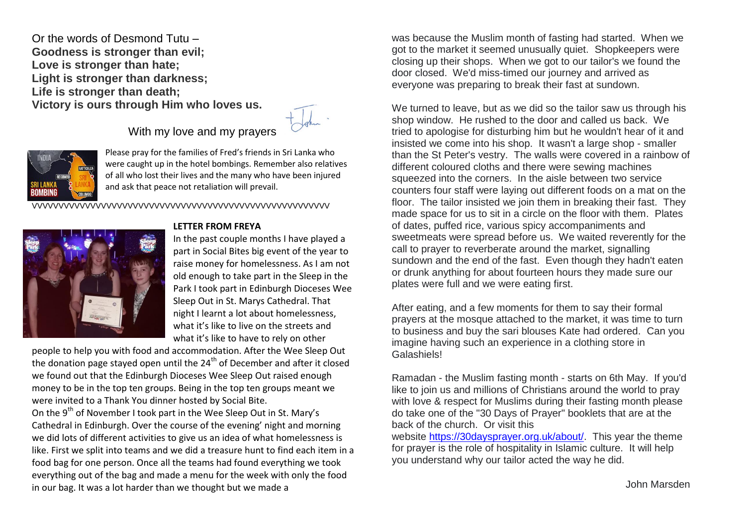Or the words of Desmond Tutu – **Goodness is stronger than evil; Love is stronger than hate; Light is stronger than darkness; Life is stronger than death; Victory is ours through Him who loves us.**

# With my love and my prayers



Please pray for the families of Fred's friends in Sri Lanka who were caught up in the hotel bombings. Remember also relatives of all who lost their lives and the many who have been injured and ask that peace not retaliation will prevail.

VVVVVVVVVVVVVVVVVVVVVVVVVVVVVVVVVVVVVVVVVVVVVVVVVVVVVVVV



#### **LETTER FROM FREYA**

In the past couple months I have played a part in Social Bites big event of the year to raise money for homelessness. As I am not old enough to take part in the Sleep in the Park I took part in Edinburgh Dioceses Wee Sleep Out in St. Marys Cathedral. That night I learnt a lot about homelessness, what it's like to live on the streets and what it's like to have to rely on other

people to help you with food and accommodation. After the Wee Sleep Out the donation page stayed open until the  $24<sup>th</sup>$  of December and after it closed we found out that the Edinburgh Dioceses Wee Sleep Out raised enough money to be in the top ten groups. Being in the top ten groups meant we were invited to a Thank You dinner hosted by Social Bite.

On the 9<sup>th</sup> of November I took part in the Wee Sleep Out in St. Mary's Cathedral in Edinburgh. Over the course of the evening' night and morning we did lots of different activities to give us an idea of what homelessness is like. First we split into teams and we did a treasure hunt to find each item in a food bag for one person. Once all the teams had found everything we took everything out of the bag and made a menu for the week with only the food in our bag. It was a lot harder than we thought but we made a

was because the Muslim month of fasting had started. When we got to the market it seemed unusually quiet. Shopkeepers were closing up their shops. When we got to our tailor's we found the door closed. We'd miss-timed our journey and arrived as everyone was preparing to break their fast at sundown.

We turned to leave, but as we did so the tailor saw us through his shop window. He rushed to the door and called us back. We tried to apologise for disturbing him but he wouldn't hear of it and insisted we come into his shop. It wasn't a large shop - smaller than the St Peter's vestry. The walls were covered in a rainbow of different coloured cloths and there were sewing machines squeezed into the corners. In the aisle between two service counters four staff were laying out different foods on a mat on the floor. The tailor insisted we join them in breaking their fast. They made space for us to sit in a circle on the floor with them. Plates of dates, puffed rice, various spicy accompaniments and sweetmeats were spread before us. We waited reverently for the call to prayer to reverberate around the market, signalling sundown and the end of the fast. Even though they hadn't eaten or drunk anything for about fourteen hours they made sure our plates were full and we were eating first.

After eating, and a few moments for them to say their formal prayers at the mosque attached to the market, it was time to turn to business and buy the sari blouses Kate had ordered. Can you imagine having such an experience in a clothing store in Galashiels!

Ramadan - the Muslim fasting month - starts on 6th May. If you'd like to join us and millions of Christians around the world to pray with love & respect for Muslims during their fasting month please do take one of the "30 Days of Prayer" booklets that are at the back of the church. Or visit this

website [https://30daysprayer.org.uk/about/.](https://30daysprayer.org.uk/about/) This year the theme for prayer is the role of hospitality in Islamic culture. It will help you understand why our tailor acted the way he did.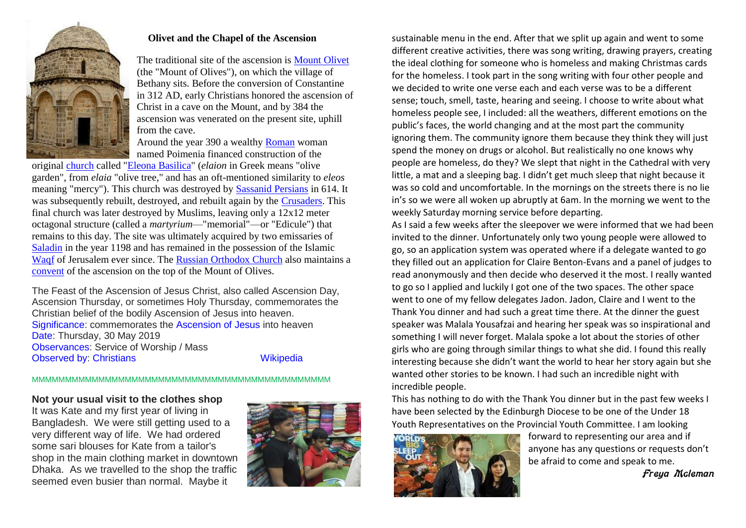

#### **Olivet and the Chapel of the Ascension**

The traditional site of the ascension is [Mount Olivet](https://en.wikipedia.org/wiki/Mount_Olivet) (the "Mount of Olives"), on which the village of Bethany sits. Before the conversion of Constantine in 312 AD, early Christians honored the ascension of Christ in a cave on the Mount, and by 384 the ascension was venerated on the present site, uphill from the cave.

Around the year 390 a wealthy [Roman](https://en.wikipedia.org/wiki/Roman_Empire) woman named Poimenia financed construction of the

original [church](https://en.wikipedia.org/wiki/Church_(building)) called ["Eleona Basilica"](https://en.wikipedia.org/wiki/Eleona_Basilica) (*elaion* in Greek means "olive garden", from *elaia* "olive tree," and has an oft-mentioned similarity to *eleos* meaning "mercy"). This church was destroyed by [Sassanid Persians](https://en.wikipedia.org/wiki/Sassanid_Empire) in 614. It was subsequently rebuilt, destroyed, and rebuilt again by the [Crusaders.](https://en.wikipedia.org/wiki/Crusaders) This final church was later destroyed by Muslims, leaving only a 12x12 meter octagonal structure (called a *martyrium*—"memorial"—or "Edicule") that remains to this day. The site was ultimately acquired by two emissaries of [Saladin](https://en.wikipedia.org/wiki/Saladin) in the year 1198 and has remained in the possession of the Islamic [Waqf](https://en.wikipedia.org/wiki/Waqf) of Jerusalem ever since. The [Russian Orthodox Church](https://en.wikipedia.org/wiki/Russian_Orthodox_Church) also maintains a [convent](https://en.wikipedia.org/wiki/Convent) of the ascension on the top of the Mount of Olives.

The Feast of the Ascension of Jesus Christ, also called Ascension Day, Ascension Thursday, or sometimes Holy Thursday, commemorates the Christian belief of the bodily Ascension of Jesus into heaven. [Significance:](https://www.google.co.uk/search?safe=active&hl=en&biw=1278&bih=577&q=ascension+day+significance&sa=X&ved=2ahUKEwjimLusjenhAhX_ThUIHX5qBE0Q6BMoADAdegQIDRAG) commemorates the [Ascension of Jesus](https://www.google.co.uk/search?safe=active&hl=en&biw=1278&bih=577&q=Ascension+of+Jesus&stick=H4sIAAAAAAAAAONgVuLQz9U3SDdOs1zEKuRYnJyaV5yZn6eQn6bglVpcWgwAdxvwliEAAAA&sa=X&ved=2ahUKEwjimLusjenhAhX_ThUIHX5qBE0QmxMoATAdegQIDRAH) into heaven [Date:](https://www.google.co.uk/search?safe=active&hl=en&biw=1278&bih=577&q=ascension+day+date&stick=H4sIAAAAAAAAAOPgE-LWT9c3NDIoNjIrMNaSyE620k8tS80rKdbPyM_JTEmstEpJLEktXsQqlFicnJpXnJmfpwAUVQCJAgDb4bzsPgAAAA&sa=X&ved=2ahUKEwjimLusjenhAhX_ThUIHX5qBE0Q6BMoADAeegQIDRAK) Thursday, 30 May 2019 [Observances:](https://www.google.co.uk/search?safe=active&hl=en&biw=1278&bih=577&q=ascension+day+observances&sa=X&ved=2ahUKEwjimLusjenhAhX_ThUIHX5qBE0Q6BMoADAfegQIDRAN) Service of Worship / Mass [Observed by:](https://www.google.co.uk/search?safe=active&hl=en&biw=1278&bih=577&q=ascension+day+observed+by&sa=X&ved=2ahUKEwjimLusjenhAhX_ThUIHX5qBE0Q6BMoADAgegQIDRAQ) [Christians](https://www.google.co.uk/search?safe=active&hl=en&biw=1278&bih=577&q=Christians&stick=H4sIAAAAAAAAAONgVuLQz9U3MMwpsFjEyuWcUZRZXJKZmFcMANiZ_PYZAAAA&sa=X&ved=2ahUKEwjimLusjenhAhX_ThUIHX5qBE0QmxMoATAgegQIDRAR) [Wikipedia](https://en.wikipedia.org/wiki/Feast_of_the_Ascension)

#### MMMMMMMMMMMMMMMMMMMMMMMMMMMMMMMMMMMMMMMMMMMMM

#### **Not your usual visit to the clothes shop**

It was Kate and my first year of living in Bangladesh. We were still getting used to a very different way of life. We had ordered some sari blouses for Kate from a tailor's shop in the main clothing market in downtown Dhaka. As we travelled to the shop the traffic seemed even busier than normal. Maybe it



sustainable menu in the end. After that we split up again and went to some different creative activities, there was song writing, drawing prayers, creating the ideal clothing for someone who is homeless and making Christmas cards for the homeless. I took part in the song writing with four other people and we decided to write one verse each and each verse was to be a different sense; touch, smell, taste, hearing and seeing. I choose to write about what homeless people see, I included: all the weathers, different emotions on the public's faces, the world changing and at the most part the community ignoring them. The community ignore them because they think they will just spend the money on drugs or alcohol. But realistically no one knows why people are homeless, do they? We slept that night in the Cathedral with very little, a mat and a sleeping bag. I didn't get much sleep that night because it was so cold and uncomfortable. In the mornings on the streets there is no lie in's so we were all woken up abruptly at 6am. In the morning we went to the weekly Saturday morning service before departing.

As I said a few weeks after the sleepover we were informed that we had been invited to the dinner. Unfortunately only two young people were allowed to go, so an application system was operated where if a delegate wanted to go they filled out an application for Claire Benton-Evans and a panel of judges to read anonymously and then decide who deserved it the most. I really wanted to go so I applied and luckily I got one of the two spaces. The other space went to one of my fellow delegates Jadon. Jadon, Claire and I went to the Thank You dinner and had such a great time there. At the dinner the guest speaker was Malala Yousafzai and hearing her speak was so inspirational and something I will never forget. Malala spoke a lot about the stories of other girls who are going through similar things to what she did. I found this really interesting because she didn't want the world to hear her story again but she wanted other stories to be known. I had such an incredible night with incredible people.

This has nothing to do with the Thank You dinner but in the past few weeks I have been selected by the Edinburgh Diocese to be one of the Under 18 Youth Representatives on the Provincial Youth Committee. I am looking



forward to representing our area and if anyone has any questions or requests don't be afraid to come and speak to me.

Freya Mcleman